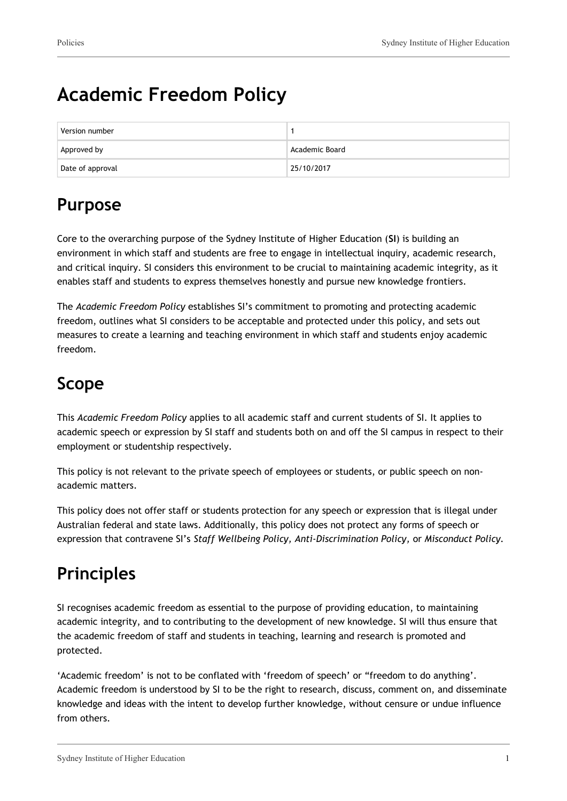# **Academic Freedom Policy**

| Version number   |                |
|------------------|----------------|
| Approved by      | Academic Board |
| Date of approval | 25/10/2017     |

## **Purpose**

Core to the overarching purpose of the Sydney Institute of Higher Education (**SI**) is building an environment in which staff and students are free to engage in intellectual inquiry, academic research, and critical inquiry. SI considers this environment to be crucial to maintaining academic integrity, as it enables staff and students to express themselves honestly and pursue new knowledge frontiers.

The *Academic Freedom Policy* establishes SI's commitment to promoting and protecting academic freedom, outlines what SI considers to be acceptable and protected under this policy, and sets out measures to create a learning and teaching environment in which staff and students enjoy academic freedom.

## **Scope**

This *Academic Freedom Policy* applies to all academic staff and current students of SI. It applies to academic speech or expression by SI staff and students both on and off the SI campus in respect to their employment or studentship respectively.

This policy is not relevant to the private speech of employees or students, or public speech on nonacademic matters.

This policy does not offer staff or students protection for any speech or expression that is illegal under Australian federal and state laws. Additionally, this policy does not protect any forms of speech or expression that contravene SI's *Staff Wellbeing Policy, Anti-Discrimination Policy,* or *Misconduct Policy.*

# **Principles**

SI recognises academic freedom as essential to the purpose of providing education, to maintaining academic integrity, and to contributing to the development of new knowledge. SI will thus ensure that the academic freedom of staff and students in teaching, learning and research is promoted and protected.

'Academic freedom' is not to be conflated with 'freedom of speech' or "freedom to do anything'. Academic freedom is understood by SI to be the right to research, discuss, comment on, and disseminate knowledge and ideas with the intent to develop further knowledge, without censure or undue influence from others.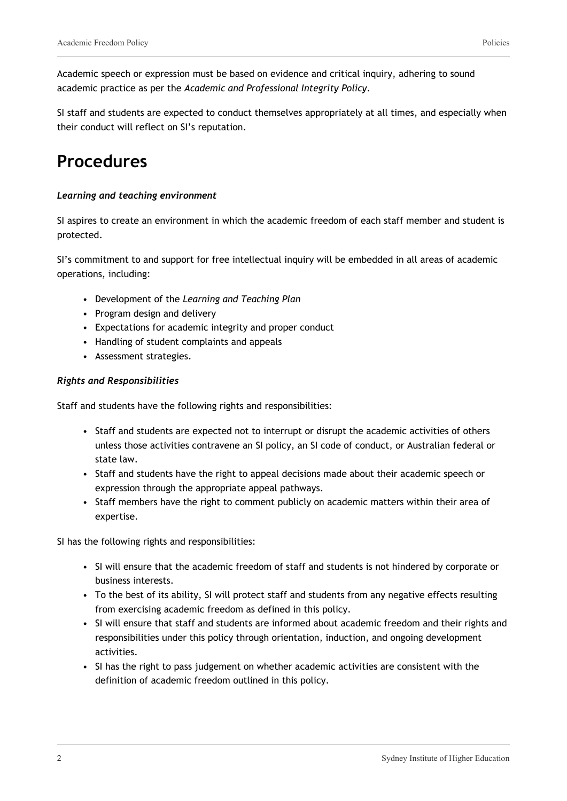Academic speech or expression must be based on evidence and critical inquiry, adhering to sound academic practice as per the *Academic and Professional Integrity Policy*.

SI staff and students are expected to conduct themselves appropriately at all times, and especially when their conduct will reflect on SI's reputation.

### **Procedures**

#### *Learning and teaching environment*

SI aspires to create an environment in which the academic freedom of each staff member and student is protected.

SI's commitment to and support for free intellectual inquiry will be embedded in all areas of academic operations, including:

- Development of the *Learning and Teaching Plan*
- Program design and delivery
- Expectations for academic integrity and proper conduct
- Handling of student complaints and appeals
- Assessment strategies.

#### *Rights and Responsibilities*

Staff and students have the following rights and responsibilities:

- Staff and students are expected not to interrupt or disrupt the academic activities of others unless those activities contravene an SI policy, an SI code of conduct, or Australian federal or state law.
- Staff and students have the right to appeal decisions made about their academic speech or expression through the appropriate appeal pathways.
- Staff members have the right to comment publicly on academic matters within their area of expertise.

SI has the following rights and responsibilities:

- SI will ensure that the academic freedom of staff and students is not hindered by corporate or business interests.
- To the best of its ability, SI will protect staff and students from any negative effects resulting from exercising academic freedom as defined in this policy.
- SI will ensure that staff and students are informed about academic freedom and their rights and responsibilities under this policy through orientation, induction, and ongoing development activities.
- SI has the right to pass judgement on whether academic activities are consistent with the definition of academic freedom outlined in this policy.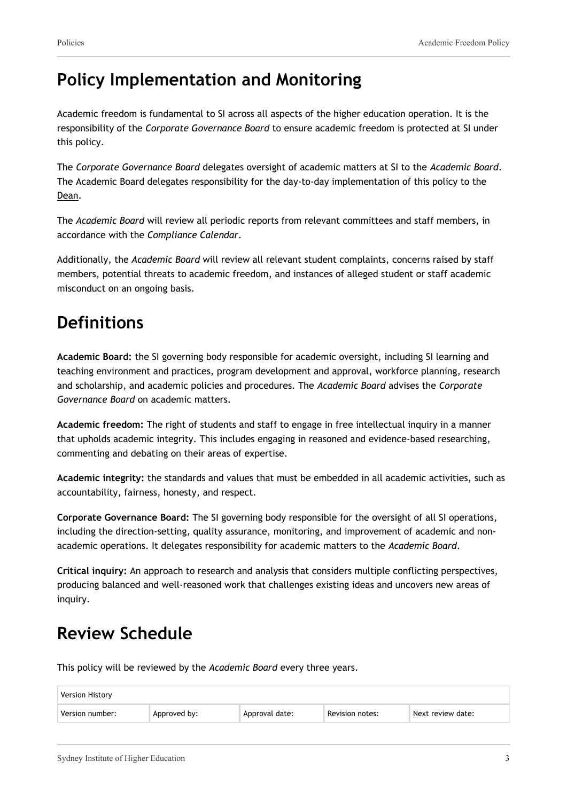### **Policy Implementation and Monitoring**

Academic freedom is fundamental to SI across all aspects of the higher education operation. It is the responsibility of the *Corporate Governance Board* to ensure academic freedom is protected at SI under this policy.

The *Corporate Governance Board* delegates oversight of academic matters at SI to the *Academic Board*. The Academic Board delegates responsibility for the day-to-day implementation of this policy to the Dean.

The *Academic Board* will review all periodic reports from relevant committees and staff members, in accordance with the *Compliance Calendar*.

Additionally, the *Academic Board* will review all relevant student complaints, concerns raised by staff members, potential threats to academic freedom, and instances of alleged student or staff academic misconduct on an ongoing basis.

### **Definitions**

**Academic Board:** the SI governing body responsible for academic oversight, including SI learning and teaching environment and practices, program development and approval, workforce planning, research and scholarship, and academic policies and procedures. The *Academic Board* advises the *Corporate Governance Board* on academic matters.

**Academic freedom:** The right of students and staff to engage in free intellectual inquiry in a manner that upholds academic integrity. This includes engaging in reasoned and evidence-based researching, commenting and debating on their areas of expertise.

**Academic integrity:** the standards and values that must be embedded in all academic activities, such as accountability, fairness, honesty, and respect.

**Corporate Governance Board:** The SI governing body responsible for the oversight of all SI operations, including the direction-setting, quality assurance, monitoring, and improvement of academic and nonacademic operations. It delegates responsibility for academic matters to the *Academic Board*.

**Critical inquiry:** An approach to research and analysis that considers multiple conflicting perspectives, producing balanced and well-reasoned work that challenges existing ideas and uncovers new areas of inquiry.

# **Review Schedule**

This policy will be reviewed by the *Academic Board* every three years.

| <b>Version History</b> |              |                |                 |                   |
|------------------------|--------------|----------------|-----------------|-------------------|
| Version number:        | Approved by: | Approval date: | Revision notes: | Next review date: |